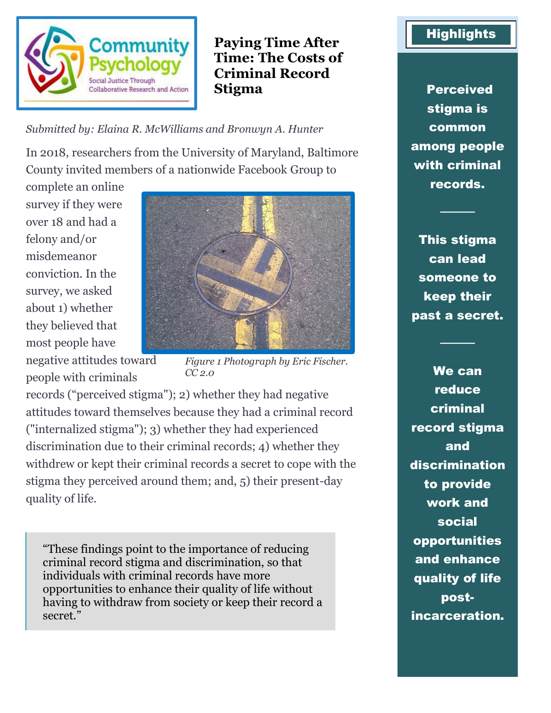

**Paying Time After Time: The Costs of Criminal Record Stigma** Perceived

*Submitted by: Elaina R. McWilliams and Bronwyn A. Hunter*

In 2018, researchers from the University of Maryland, Baltimore County invited members of a nationwide Facebook Group to

complete an online survey if they were over 18 and had a felony and/or misdemeanor conviction. In the survey, we asked about 1) whether they believed that most people have negative attitudes toward people with criminals



*Figure 1 Photograph by Eric Fischer. CC 2.0*

records ("perceived stigma"); 2) whether they had negative attitudes toward themselves because they had a criminal record ("internalized stigma"); 3) whether they had experienced discrimination due to their criminal records; 4) whether they withdrew or kept their criminal records a secret to cope with the stigma they perceived around them; and, 5) their present-day quality of life.

"These findings point to the importance of reducing criminal record stigma and discrimination, so that individuals with criminal records have more opportunities to enhance their quality of life without having to withdraw from society or keep their record a secret."

## **Highlights**

stigma is common among people with criminal records.

This stigma can lead someone to keep their past a secret.

────

────

We can reduce criminal record stigma and discrimination to provide work and social opportunities and enhance quality of life postincarceration.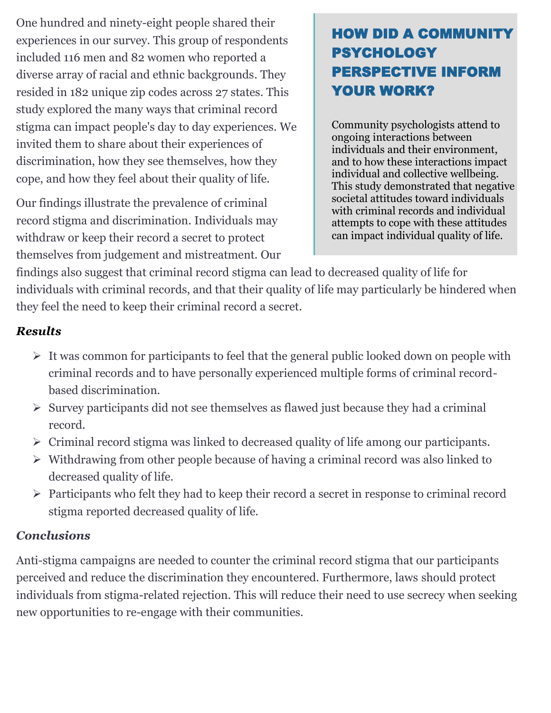One hundred and ninety-eight people shared their experiences in our survey. This group of respondents included 116 men and 82 women who reported a diverse array of racial and ethnic backgrounds. They resided in 182 unique zip codes across 27 states. This study explored the many ways that criminal record stigma can impact people's day to day experiences. We invited them to share about their experiences of discrimination, how they see themselves, how they cope, and how they feel about their quality of life.

Our findings illustrate the prevalence of criminal record stigma and discrimination. Individuals may withdraw or keep their record a secret to protect themselves from judgement and mistreatment. Our

# HOW DID A COMMUNITY PSYCHOLOGY PERSPECTIVE INFORM YOUR WORK?

Community psychologists attend to ongoing interactions between individuals and their environment, and to how these interactions impact individual and collective wellbeing. This study demonstrated that negative societal attitudes toward individuals with criminal records and individual attempts to cope with these attitudes can impact individual quality of life.

findings also suggest that criminal record stigma can lead to decreased quality of life for individuals with criminal records, and that their quality of life may particularly be hindered when they feel the need to keep their criminal record a secret.

### *Results*

- ➢ It was common for participants to feel that the general public looked down on people with criminal records and to have personally experienced multiple forms of criminal recordbased discrimination.
- ➢ Survey participants did not see themselves as flawed just because they had a criminal record.
- ➢ Criminal record stigma was linked to decreased quality of life among our participants.
- ➢ Withdrawing from other people because of having a criminal record was also linked to decreased quality of life.
- ➢ Participants who felt they had to keep their record a secret in response to criminal record stigma reported decreased quality of life.

### *Conclusions*

Anti-stigma campaigns are needed to counter the criminal record stigma that our participants perceived and reduce the discrimination they encountered. Furthermore, laws should protect individuals from stigma-related rejection. This will reduce their need to use secrecy when seeking new opportunities to re-engage with their communities.